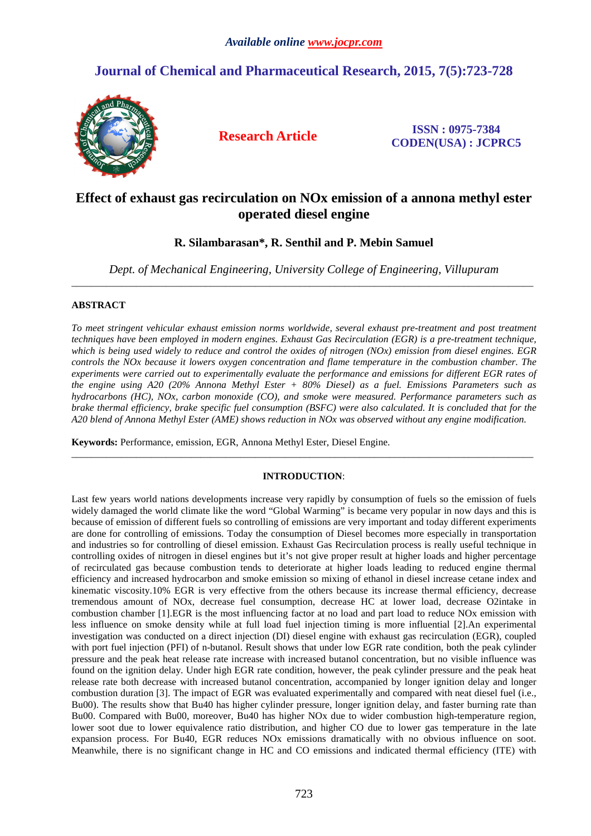# **Journal of Chemical and Pharmaceutical Research, 2015, 7(5):723-728**



**Research Article ISSN : 0975-7384 CODEN(USA) : JCPRC5**

# **Effect of exhaust gas recirculation on NOx emission of a annona methyl ester operated diesel engine**

# **R. Silambarasan\*, R. Senthil and P. Mebin Samuel**

*Dept. of Mechanical Engineering, University College of Engineering, Villupuram*  \_\_\_\_\_\_\_\_\_\_\_\_\_\_\_\_\_\_\_\_\_\_\_\_\_\_\_\_\_\_\_\_\_\_\_\_\_\_\_\_\_\_\_\_\_\_\_\_\_\_\_\_\_\_\_\_\_\_\_\_\_\_\_\_\_\_\_\_\_\_\_\_\_\_\_\_\_\_\_\_\_\_\_\_\_\_\_\_\_\_\_\_\_

# **ABSTRACT**

*To meet stringent vehicular exhaust emission norms worldwide, several exhaust pre-treatment and post treatment techniques have been employed in modern engines. Exhaust Gas Recirculation (EGR) is a pre-treatment technique, which is being used widely to reduce and control the oxides of nitrogen (NOx) emission from diesel engines. EGR controls the NOx because it lowers oxygen concentration and flame temperature in the combustion chamber. The experiments were carried out to experimentally evaluate the performance and emissions for different EGR rates of the engine using A20 (20% Annona Methyl Ester + 80% Diesel) as a fuel. Emissions Parameters such as hydrocarbons (HC), NOx, carbon monoxide (CO), and smoke were measured. Performance parameters such as brake thermal efficiency, brake specific fuel consumption (BSFC) were also calculated. It is concluded that for the A20 blend of Annona Methyl Ester (AME) shows reduction in NOx was observed without any engine modification.* 

**Keywords:** Performance, emission, EGR, Annona Methyl Ester, Diesel Engine.

# **INTRODUCTION**:

\_\_\_\_\_\_\_\_\_\_\_\_\_\_\_\_\_\_\_\_\_\_\_\_\_\_\_\_\_\_\_\_\_\_\_\_\_\_\_\_\_\_\_\_\_\_\_\_\_\_\_\_\_\_\_\_\_\_\_\_\_\_\_\_\_\_\_\_\_\_\_\_\_\_\_\_\_\_\_\_\_\_\_\_\_\_\_\_\_\_\_\_\_

Last few years world nations developments increase very rapidly by consumption of fuels so the emission of fuels widely damaged the world climate like the word "Global Warming" is became very popular in now days and this is because of emission of different fuels so controlling of emissions are very important and today different experiments are done for controlling of emissions. Today the consumption of Diesel becomes more especially in transportation and industries so for controlling of diesel emission. Exhaust Gas Recirculation process is really useful technique in controlling oxides of nitrogen in diesel engines but it's not give proper result at higher loads and higher percentage of recirculated gas because combustion tends to deteriorate at higher loads leading to reduced engine thermal efficiency and increased hydrocarbon and smoke emission so mixing of ethanol in diesel increase cetane index and kinematic viscosity.10% EGR is very effective from the others because its increase thermal efficiency, decrease tremendous amount of NOx, decrease fuel consumption, decrease HC at lower load, decrease O2intake in combustion chamber [1].EGR is the most influencing factor at no load and part load to reduce NOx emission with less influence on smoke density while at full load fuel injection timing is more influential [2].An experimental investigation was conducted on a direct injection (DI) diesel engine with exhaust gas recirculation (EGR), coupled with port fuel injection (PFI) of n-butanol. Result shows that under low EGR rate condition, both the peak cylinder pressure and the peak heat release rate increase with increased butanol concentration, but no visible influence was found on the ignition delay. Under high EGR rate condition, however, the peak cylinder pressure and the peak heat release rate both decrease with increased butanol concentration, accompanied by longer ignition delay and longer combustion duration [3]. The impact of EGR was evaluated experimentally and compared with neat diesel fuel (i.e., Bu00). The results show that Bu40 has higher cylinder pressure, longer ignition delay, and faster burning rate than Bu00. Compared with Bu00, moreover, Bu40 has higher NOx due to wider combustion high-temperature region, lower soot due to lower equivalence ratio distribution, and higher CO due to lower gas temperature in the late expansion process. For Bu40, EGR reduces NOx emissions dramatically with no obvious influence on soot. Meanwhile, there is no significant change in HC and CO emissions and indicated thermal efficiency (ITE) with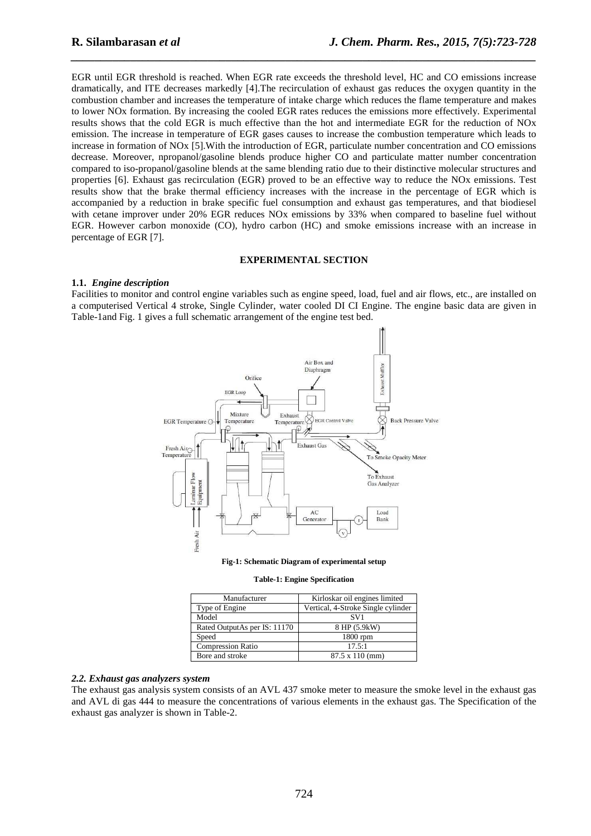EGR until EGR threshold is reached. When EGR rate exceeds the threshold level, HC and CO emissions increase dramatically, and ITE decreases markedly [4].The recirculation of exhaust gas reduces the oxygen quantity in the combustion chamber and increases the temperature of intake charge which reduces the flame temperature and makes to lower NOx formation. By increasing the cooled EGR rates reduces the emissions more effectively. Experimental results shows that the cold EGR is much effective than the hot and intermediate EGR for the reduction of NOx emission. The increase in temperature of EGR gases causes to increase the combustion temperature which leads to increase in formation of NOx [5].With the introduction of EGR, particulate number concentration and CO emissions decrease. Moreover, npropanol/gasoline blends produce higher CO and particulate matter number concentration compared to iso-propanol/gasoline blends at the same blending ratio due to their distinctive molecular structures and properties [6]. Exhaust gas recirculation (EGR) proved to be an effective way to reduce the NOx emissions. Test results show that the brake thermal efficiency increases with the increase in the percentage of EGR which is accompanied by a reduction in brake specific fuel consumption and exhaust gas temperatures, and that biodiesel with cetane improver under 20% EGR reduces NOx emissions by 33% when compared to baseline fuel without EGR. However carbon monoxide (CO), hydro carbon (HC) and smoke emissions increase with an increase in percentage of EGR [7].

*\_\_\_\_\_\_\_\_\_\_\_\_\_\_\_\_\_\_\_\_\_\_\_\_\_\_\_\_\_\_\_\_\_\_\_\_\_\_\_\_\_\_\_\_\_\_\_\_\_\_\_\_\_\_\_\_\_\_\_\_\_\_\_\_\_\_\_\_\_\_\_\_\_\_\_\_\_\_*

#### **EXPERIMENTAL SECTION**

#### **1.1.** *Engine description*

Facilities to monitor and control engine variables such as engine speed, load, fuel and air flows, etc., are installed on a computerised Vertical 4 stroke, Single Cylinder, water cooled DI CI Engine. The engine basic data are given in Table-1and Fig. 1 gives a full schematic arrangement of the engine test bed.



**Fig-1: Schematic Diagram of experimental setup** 

|  |  | <b>Table-1: Engine Specification</b> |  |
|--|--|--------------------------------------|--|
|--|--|--------------------------------------|--|

| Manufacturer                 | Kirloskar oil engines limited      |
|------------------------------|------------------------------------|
| Type of Engine               | Vertical, 4-Stroke Single cylinder |
| Model                        | SV <sub>1</sub>                    |
| Rated OutputAs per IS: 11170 | 8 HP (5.9kW)                       |
| Speed                        | 1800 rpm                           |
| <b>Compression Ratio</b>     | 17.5:1                             |
| Bore and stroke              | $87.5 \times 110$ (mm)             |

#### *2.2. Exhaust gas analyzers system*

The exhaust gas analysis system consists of an AVL 437 smoke meter to measure the smoke level in the exhaust gas and AVL di gas 444 to measure the concentrations of various elements in the exhaust gas. The Specification of the exhaust gas analyzer is shown in Table-2.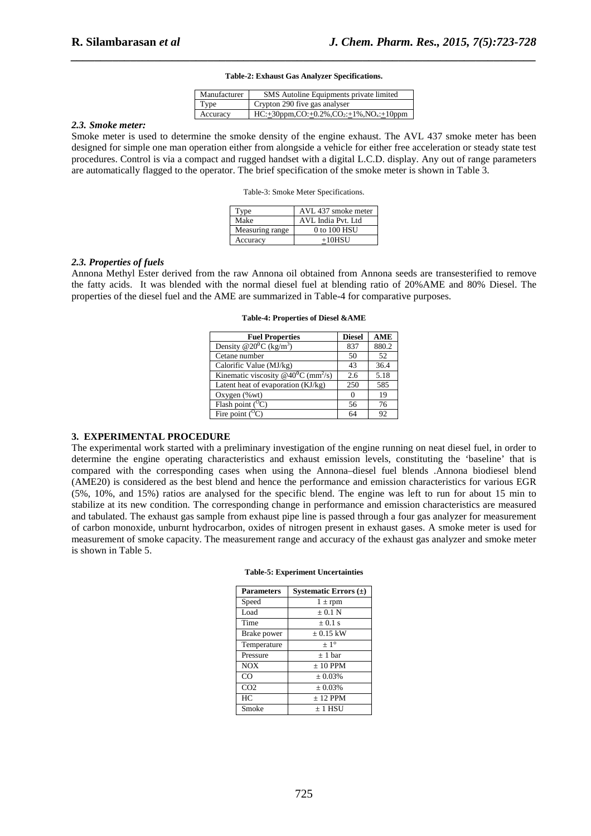# *\_\_\_\_\_\_\_\_\_\_\_\_\_\_\_\_\_\_\_\_\_\_\_\_\_\_\_\_\_\_\_\_\_\_\_\_\_\_\_\_\_\_\_\_\_\_\_\_\_\_\_\_\_\_\_\_\_\_\_\_\_\_\_\_\_\_\_\_\_\_\_\_\_\_\_\_\_\_* **Table-2: Exhaust Gas Analyzer Specifications.**

| Manufacturer | <b>SMS</b> Autoline Equipments private limited           |
|--------------|----------------------------------------------------------|
| Type         | Crypton 290 five gas analyser                            |
| Accuracy     | $HC: +30ppm, CO: +0.2\%$ , $CO_2: +1\%$ , $NO_x: +10ppm$ |

#### *2.3. Smoke meter:*

Smoke meter is used to determine the smoke density of the engine exhaust. The AVL 437 smoke meter has been designed for simple one man operation either from alongside a vehicle for either free acceleration or steady state test procedures. Control is via a compact and rugged handset with a digital L.C.D. display. Any out of range parameters are automatically flagged to the operator. The brief specification of the smoke meter is shown in Table 3.

Table-3: Smoke Meter Specifications.

| l'ype           | AVL 437 smoke meter |
|-----------------|---------------------|
| Make            | AVL India Pvt. Ltd  |
| Measuring range | 0 to 100 HSU        |
| Accuracy        | $+10$ HSU           |

#### *2.3. Properties of fuels*

Annona Methyl Ester derived from the raw Annona oil obtained from Annona seeds are transesterified to remove the fatty acids. It was blended with the normal diesel fuel at blending ratio of 20%AME and 80% Diesel. The properties of the diesel fuel and the AME are summarized in Table-4 for comparative purposes.

| Table-4: Properties of Diesel & AME |
|-------------------------------------|
|-------------------------------------|

| <b>Fuel Properties</b>                                             | <b>Diesel</b> | <b>AME</b> |
|--------------------------------------------------------------------|---------------|------------|
| Density @ $20^{\circ}$ C (kg/m <sup>3</sup> )                      | 837           | 880.2      |
| Cetane number                                                      | 50            | 52         |
| Calorific Value (MJ/kg)                                            | 43            | 36.4       |
| Kinematic viscosity $@40\textsuperscript{0}C$ (mm <sup>2</sup> /s) | 2.6           | 5.18       |
| Latent heat of evaporation (KJ/kg)                                 | 250           | 585        |
| Oxygen (%wt)                                                       |               | 19         |
| Flash point $(^{0}C)$                                              | 56            | 76         |
| Fire point $(^{0}C)$                                               | 64            | 92         |

## **3. EXPERIMENTAL PROCEDURE**

The experimental work started with a preliminary investigation of the engine running on neat diesel fuel, in order to determine the engine operating characteristics and exhaust emission levels, constituting the 'baseline' that is compared with the corresponding cases when using the Annona–diesel fuel blends .Annona biodiesel blend (AME20) is considered as the best blend and hence the performance and emission characteristics for various EGR (5%, 10%, and 15%) ratios are analysed for the specific blend. The engine was left to run for about 15 min to stabilize at its new condition. The corresponding change in performance and emission characteristics are measured and tabulated. The exhaust gas sample from exhaust pipe line is passed through a four gas analyzer for measurement of carbon monoxide, unburnt hydrocarbon, oxides of nitrogen present in exhaust gases. A smoke meter is used for measurement of smoke capacity. The measurement range and accuracy of the exhaust gas analyzer and smoke meter is shown in Table 5.

#### **Table-5: Experiment Uncertainties**

| <b>Parameters</b> | Systematic Errors $(\pm)$ |
|-------------------|---------------------------|
| Speed             | $1 \pm$ rpm               |
| Load              | $\pm$ 0.1 N               |
| Time              | $+0.1$ s                  |
| Brake power       | $\pm$ 0.15 kW             |
| Temperature       | $+1^{\circ}$              |
| Pressure          | ± 1 bar                   |
| <b>NOX</b>        | $± 10$ PPM                |
| CO                | $\pm 0.03\%$              |
| CO <sub>2</sub>   | ± 0.03%                   |
| HC                | $+12$ PPM                 |
| Smoke             | $\pm$ 1 HSU               |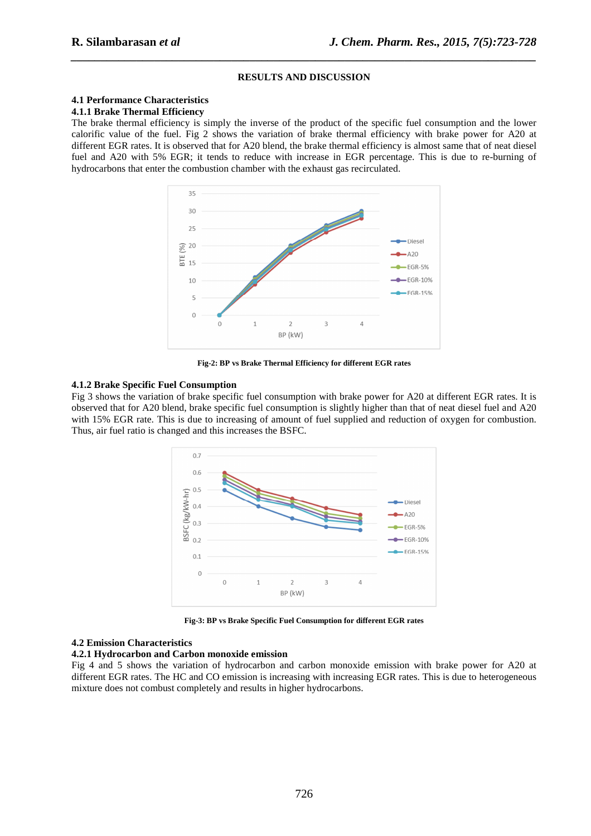#### **RESULTS AND DISCUSSION**

*\_\_\_\_\_\_\_\_\_\_\_\_\_\_\_\_\_\_\_\_\_\_\_\_\_\_\_\_\_\_\_\_\_\_\_\_\_\_\_\_\_\_\_\_\_\_\_\_\_\_\_\_\_\_\_\_\_\_\_\_\_\_\_\_\_\_\_\_\_\_\_\_\_\_\_\_\_\_*

### **4.1 Performance Characteristics**

#### **4.1.1 Brake Thermal Efficiency**

The brake thermal efficiency is simply the inverse of the product of the specific fuel consumption and the lower calorific value of the fuel. Fig 2 shows the variation of brake thermal efficiency with brake power for A20 at different EGR rates. It is observed that for A20 blend, the brake thermal efficiency is almost same that of neat diesel fuel and A20 with 5% EGR; it tends to reduce with increase in EGR percentage. This is due to re-burning of hydrocarbons that enter the combustion chamber with the exhaust gas recirculated.



**Fig-2: BP vs Brake Thermal Efficiency for different EGR rates** 

### **4.1.2 Brake Specific Fuel Consumption**

Fig 3 shows the variation of brake specific fuel consumption with brake power for A20 at different EGR rates. It is observed that for A20 blend, brake specific fuel consumption is slightly higher than that of neat diesel fuel and A20 with 15% EGR rate. This is due to increasing of amount of fuel supplied and reduction of oxygen for combustion. Thus, air fuel ratio is changed and this increases the BSFC.



**Fig-3: BP vs Brake Specific Fuel Consumption for different EGR rates** 

#### **4.2 Emission Characteristics**

#### **4.2.1 Hydrocarbon and Carbon monoxide emission**

Fig 4 and 5 shows the variation of hydrocarbon and carbon monoxide emission with brake power for A20 at different EGR rates. The HC and CO emission is increasing with increasing EGR rates. This is due to heterogeneous mixture does not combust completely and results in higher hydrocarbons.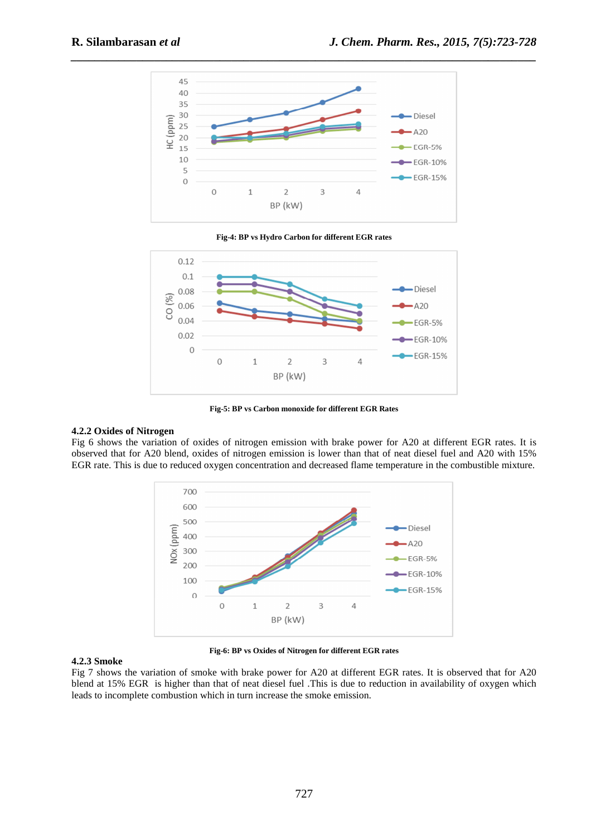

**Fig-4: BP vs Hydro Carbon for different EGR rates** 



**Fig-5: BP vs Carbon monoxide for different EGR Rates** 

## **4.2.2 Oxides of Nitrogen**

Fig 6 shows the variation of oxides of nitrogen emission with brake power for A20 at different EGR rates. It is observed that for A20 blend, oxides of nitrogen emission is lower than that of neat diesel fuel and A20 with 15% EGR rate. This is due to reduced oxygen concentration and decreased flame temperature in the combustible mixture.



**Fig-6: BP vs Oxides of Nitrogen for different EGR rates** 

## **4.2.3 Smoke**

Fig 7 shows the variation of smoke with brake power for A20 at different EGR rates. It is observed that for A20 blend at 15% EGR is higher than that of neat diesel fuel .This is due to reduction in availability of oxygen which leads to incomplete combustion which in turn increase the smoke emission.